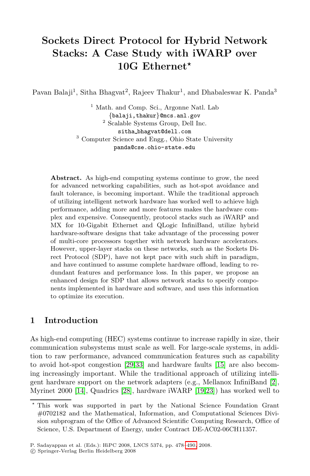# **Sockets Direct Protocol for Hybrid Network Stacks: A Case Study with iWARP over 10G Ethernet***-*

Pavan Balaji<sup>1</sup>, Sitha Bhagvat<sup>2</sup>, Rajeev Thakur<sup>1</sup>, and Dhabaleswar K. Panda<sup>3</sup>

<sup>1</sup> Math. and Comp. Sci., Argonne Natl. Lab *{*balaji,thakur*}*@mcs.anl.gov <sup>2</sup> Scalable Systems Group, Dell Inc. sitha bhagvat@dell.com <sup>3</sup> Computer Science and Engg., Ohio State University panda@cse.ohio-state.edu

**Abstract.** As high-end computing systems continue to grow, the need for advanced networking capabilities, such as hot-spot avoidance and fault tolerance, is becoming important. While the traditional approach of utilizing intelligent network hardware has worked well to achieve high performance, adding more and more features makes the hardware complex and expensive. Consequently, protocol stacks such as iWARP and MX for 10-Gigabit Ethernet and QLogic InfiniBand, utilize hybrid hardware-software designs that take advantage of the processing power of multi-core processors together with network hardware accelerators. However, upper-layer stacks on these networks, such as the Sockets Direct Protocol (SDP), have not kept pace with such shift in paradigm, and have continued to assume complete hardware offload, leading to redundant features and performance loss. In this paper, we propose an enhanced design for SDP that allows network stacks to specify components implemented in hardware and software, and uses this information to op[tim](#page-12-0)[ize](#page-12-1) its execution.

## **1 Intr[odu](#page-12-2)ction**

As high-end computing (HEC) systems continue to increase rapidly in size, their communication subsystems must scale as well. For large-scale systems, in addition to raw performance, advanced communication features such as capability to avoid hot-spot congestion [29,33] and hardware faults [15] are also becoming increasingly important. While the traditional approach of utilizing intelligent hardware support on the [net](#page-12-3)work adapters (e.g., Mellanox InfiniBand [2], Myrinet 2000 [14], Quadrics [28], hardware iWARP [19,23]) has worked well to

 $\star$  This work was supported in part by the National Science Foundation Grant #0702182 and the Mathematical, Information, and Computational Sciences Division subprogram of the Office of Advanced Scientific Computing Research, Office of Science, U.S. Department of Energy, under Contract DE-AC02-06CH11357.

P. Sadayappan et al. (Eds.): HiPC 2008, LNCS 5374, pp. 478–490, 2008.

<sup>-</sup>c Springer-Verlag Berlin Heidelberg 2008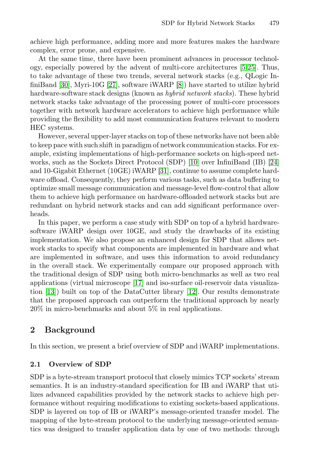achieve high performance, adding more and more features makes the hardware complex, error prone, and expensive.

At the same time, there have been prominent advances in processor technology, especially powered by the advent of multi-core architectures [5,25]. Thus, to take advantage of these two trends, several network stacks (e.g., QLogic InfiniBand [30], Myri-10G [27], software iWARP [8]) have started to utilize hybrid hardware-software stack designs [\(kn](#page-11-0)own as *hybrid networ[k sta](#page-11-1)cks*). These hybrid network stacks take a[dva](#page-12-4)ntage of the processing power of multi-core processors together with network hardware accelerators to achieve high performance while providing the flexibility to add most communication features relevant to modern HEC systems.

However, several upper-layer stacks on top of these networks have not been able to keep pace with such shift in paradigm of network communication stacks. For example, existing implementations of high-performance sockets on high-speed networks, such as the Sockets Direct Protocol (SDP) [10] over InfiniBand (IB) [24] and 10-Gigabit Ethernet (10GE) iWARP [31], continue to assume complete hardware offload. Consequently, they perform various tasks, such as data buffering to optimize small message communication and message-level flow-control that allow them to achieve high performance on hardware-offloaded network stacks but are redundant on hybrid network stacks and can add significant performance overheads.

In this pap[er,](#page-11-2) [w](#page-11-2)e perform a c[ase](#page-11-3) study with SDP on top of a hybrid hardwaresoftware iWARP design over 10GE, and study the drawbacks of its existing implementation. We also propose an enhanced design for SDP that allows network stacks to specify what components are implemented in hardware and what are implemented in software, and uses this information to avoid redundancy in the overall stack. We experimentally compare our proposed approach with the traditional design of SDP using both micro-benchmarks as well as two real applications (virtual microscope [17] and iso-surface oil-reservoir data visualization [13]) built on top of the DataCutter library [12]. Our results demonstrate that the proposed approach can outperform the traditional approach by nearly 20% in micro-benchmarks and about 5% in real applications.

## <span id="page-1-0"></span>**2 Background**

In this section, we present a brief overview of SDP and iWARP implementations.

#### **2.1 Overview of SDP**

SDP is a byte-stream transport protocol that closely mimics TCP sockets' stream semantics. It is an industry-standard specification for IB and iWARP that utilizes advanced capabilities provided by the network stacks to achieve high performance without requiring modifications to existing sockets-based applications. SDP is layered on top of IB or iWARP's message-oriented transfer model. The mapping of the byte-stream protocol to the underlying message-oriented semantics was designed to transfer application data by one of two methods: through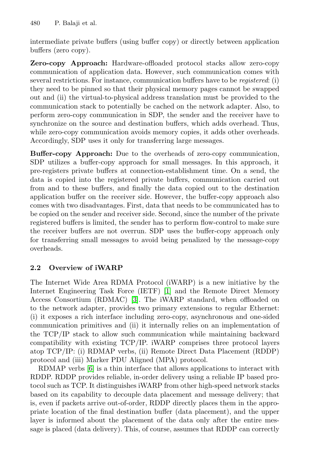intermediate private buffers (using buffer copy) or directly between application buffers (zero copy).

**Zero-copy Approach:** Hardware-offloaded protocol stacks allow zero-copy communication of application data. However, such communication comes with several restrictions. For instance, communication buffers have to be *registered*: (i) they need to be pinned so that their physical memory pages cannot be swapped out and (ii) the virtual-to-physical address translation must be provided to the communication stack to potentially be cached on the network adapter. Also, to perform zero-copy communication in SDP, the sender and the receiver have to synchronize on the source and destination buffers, which adds overhead. Thus, while zero-copy communication avoids memory copies, it adds other overheads. Accordingly, SDP uses it only for transferring large messages.

**Buffer-copy Approach:** Due to the overheads of zero-copy communication, SDP utilizes a buffer-copy approach for small messages. In this approach, it pre-registers private buffers at connection-establishment time. On a send, the data is copied into the registered private buffers, communication carried out from and to these buffers, and finally the data copied out to the destination application buffer on the receiver side. However, the buffer-copy approach also comes with two disadvantages. First, data that needs to be communicated has to be copied on the sender and receiver side. Second, since the number of the private registered buffers is limi[te](#page-10-0)d, the sender has to perform flow-control to make sure the receiver [bu](#page-10-1)ffers are not overrun. SDP uses the buffer-copy approach only for transferring small messages to avoid being penalized by the message-copy overheads.

#### **2.2 Overview of iWARP**

The Internet Wide Area RDMA Protocol (iWARP) is a new initiative by the Internet Engineering Task Force (IETF) [1] and the Remote Direct Memory [A](#page-11-4)ccess Consortium (RDMAC) [3]. The iWARP standard, when offloaded on to the network adapter, provides two primary extensions to regular Ethernet: (i) it exposes a rich interface including zero-copy, asynchronous and one-sided communication primitives and (ii) it internally relies on an implementation of the TCP/IP stack to allow such communication while maintaining backward compatibility with existing TCP/IP. iWARP comprises three protocol layers atop TCP/IP: (i) RDMAP verbs, (ii) Remote Direct Data Placement (RDDP) protocol and (iii) Marker PDU Aligned (MPA) protocol.

RDMAP verbs [6] is a thin interface that allows applications to interact with RDDP. RDDP provides reliable, in-order delivery using a reliable IP based protocol such as TCP. It distinguishes iWARP from other high-speed network stacks based on its capability to decouple data placement and message delivery; that is, even if packets arrive out-of-order, RDDP directly places them in the appropriate location of the final destination buffer (data placement), and the upper layer is informed about the placement of the data only after the entire message is placed (data delivery). This, of course, assumes that RDDP can correctly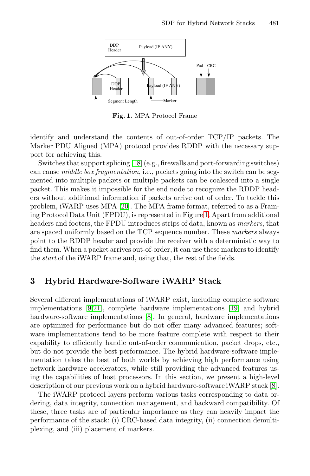<span id="page-3-0"></span>

**Fig. 1.** MPA Protocol Frame

identify [and](#page-11-5) understand the contents of out-of-order TCP/IP packets. The Marker PDU Aligned (MPA) proto[col](#page-3-0) provides RDDP with the necessary support for achieving this.

Switches that support splicing [18] (e.g., firewalls and port-forwarding switches) can cause *middle box fragmentation*, i.e., packets going into the switch can be segmented into multiple packets or multiple packets can be coalesced into a single packet. This makes it impossible for the end node to recognize the RDDP headers without additional information if packets arrive out of order. To tackle this problem, iWARP uses MPA [20]. The MPA frame format, referred to as a Framing Protocol Data Unit (FPDU), is represented in Figure 1. Apart from additional headers and footers, the FPDU introduces strips of data, known as *markers*, that are spaced uniformly based on the TCP sequence number. These *markers* always [p](#page-11-6)[oin](#page-11-7)t to the RDDP header and provide the r[ece](#page-11-8)iver with a deterministic way to find them. When [a p](#page-11-9)acket arrives out-of-order, it can use these markers to identify the *start* of the iWARP frame and, using that, the rest of the fields.

#### **3 Hybrid Hardware-Software iWARP Stack**

Several different implementations of iWARP exist, including complete software implementations [9,21], complete hardware implementations [19] and hybrid hardware-software implementations [8]. In general, hard[wa](#page-11-9)re implementations are optimized for performance but do not offer many advanced features; software implementations tend to be more feature complete with respect to their capability to efficiently handle out-of-order communication, packet drops, etc., but do not provide the best performance. The hybrid hardware-software implementation takes the best of both worlds by achieving high performance using network hardware accelerators, while still providing the advanced features using the capabilities of host processors. In this section, we present a high-level description of our previous work on a hybrid hardware-software iWARP stack [8].

The iWARP protocol layers perform various tasks corresponding to data ordering, data integrity, connection management, and backward compatibility. Of these, three tasks are of particular importance as they can heavily impact the performance of the stack: (i) CRC-based data integrity, (ii) connection demultiplexing, and (iii) placement of markers.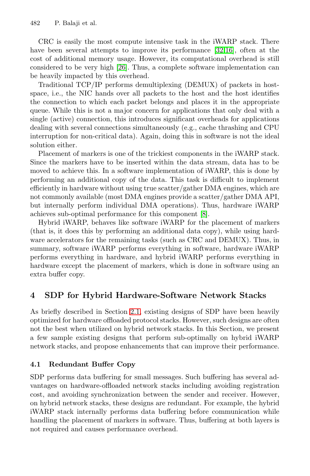CRC is easily the most compute intensive task in the iWARP stack. There have been several attempts to improve its performance [32,16], often at the cost of additional memory usage. However, its computational overhead is still considered to be very high [26]. Thus, a complete software implementation can be heavily impacted by this overhead.

Traditional TCP/IP performs demultiplexing (DEMUX) of packets in hostspace, i.e., the NIC hands over all packets to the host and the host identifies the connection to which each packet belongs and places it in the appropriate queue. While this is not a major concern for applications that only deal with a single (active) connection, this introduces significant overheads for applications dealing with several connections simultaneously (e.g., cache thrashing and CPU interruption for non-critical data). Again, doing this in software is not the ideal solution either.

Placement of markers is one of t[he](#page-11-9) trickiest components in the iWARP stack. Since the markers have to be inserted within the data stream, data has to be moved to achieve this. In a software implementation of iWARP, this is done by performing an additional copy of the data. This task is difficult to implement efficiently in hardware without using true scatter/gather DMA engines, which are not commonly available (most DMA engines provide a scatter/gather DMA API, but internally perform individual DMA operations). Thus, hardware iWARP achieves sub-optimal performance for this component [8].

Hybrid iWARP, behaves like software iWARP for the placement of markers (that is, it does this by performing an additional data copy), while using hardware accelerators for the remaining tasks (such as CRC and DEMUX). Thus, in summary, so[ftwa](#page-1-0)re iWARP performs everything in software, hardware iWARP performs everything in hardware, and hybrid iWARP performs everything in hardware except the placement of markers, which is done in software using an extra buffer copy.

## **4 SDP for Hybrid Hardware-Software Network Stacks**

As briefly described in Section 2.1, existing designs of SDP have been heavily optimized for hardware offloaded protocol stacks. However, such designs are often not the best when utilized on hybrid network stacks. In this Section, we present a few sample existing designs that perform sub-optimally on hybrid iWARP network stacks, and propose enhancements that can improve their performance.

#### **4.1 Redundant Buffer Copy**

SDP performs data buffering for small messages. Such buffering has several advantages on hardware-offloaded network stacks including avoiding registration cost, and avoiding synchronization between the sender and receiver. However, on hybrid network stacks, these designs are redundant. For example, the hybrid iWARP stack internally performs data buffering before communication while handling the placement of markers in software. Thus, buffering at both layers is not required and causes performance overhead.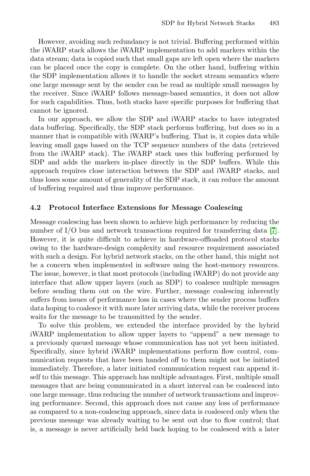However, avoiding such redundancy is not trivial. Buffering performed within the iWARP stack allows the iWARP implementation to add markers within the data stream; data is copied such that small gaps are left open where the markers can be placed once the copy is complete. On the other hand, buffering within the SDP implementation allows it to handle the socket stream semantics where one large message sent by the sender can be read as multiple small messages by the receiver. Since iWARP follows message-based semantics, it does not allow for such capabilities. Thus, both stacks have specific purposes for buffering that cannot be ignored.

In our approach, we allow the SDP and iWARP stacks to have integrated data buffering. Specifically, the SDP stack performs buffering, but does so in a manner that is compatible with iWARP's buffering. That is, it copies data while leaving small gaps based on the TCP sequence numbers of the data (retrieved from the iWARP stack). The iWARP stack uses this buffering performed by SDP and adds the markers in-place directly in the SD[P](#page-11-10) buffers. While this approach requires close interaction between the SDP and iWARP stacks, and thus loses some amount of generality of the SDP stack, it can reduce the amount of buffering required and thus improve performance.

#### **4.2 Protocol Interface Extensions for Message Coalescing**

Message coalescing has been shown to achieve high performance by reducing the number of I/O bus and network transactions required for transferring data [7]. However, it is quite difficult to achieve in hardware-offloaded protocol stacks owing to the hardware-design complexity and resource requirement associated with such a design. For hybrid network stacks, on the other hand, this might not be a concern when implemented in software using the host-memory resources. The issue, however, is that most protocols (including iWARP) do not provide any interface that allow upper layers (such as SDP) to coalesce multiple messages before sending them out on the wire. Further, message coalescing inherently suffers from issues of performance loss in cases where the sender process buffers data hoping to coalesce it with more later arriving data, while the receiver process waits for the message to be transmitted by the sender.

To solve this problem, we extended the interface provided by the hybrid iWARP implementation to allow upper layers to "append" a new message to a previously queued message whose communication has not yet been initiated. Specifically, since hybrid iWARP implementations perform flow control, communication requests that have been handed off to them might not be initiated immediately. Therefore, a later initiated communication request can append itself to this message. This approach has multiple advantages. First, multiple small messages that are being communicated in a short interval can be coalesced into one large message, thus reducing the number of network transactions and improving performance. Second, this approach does not cause any loss of performance as compared to a non-coalescing approach, since data is coalesced only when the previous message was already waiting to be sent out due to flow control; that is, a message is never artificially held back hoping to be coalesced with a later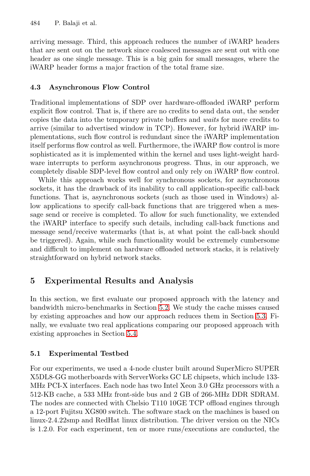arriving message. Third, this approach reduces the number of iWARP headers that are sent out on the network since coalesced messages are sent out with one header as one single message. This is a big gain for small messages, where the iWARP header forms a major fraction of the total frame size.

#### **4.3 Asynchronous Flow Control**

Traditional implementations of SDP over hardware-offloaded iWARP perform explicit flow control. That is, if there are no credits to send data out, the sender copies the data into the temporary private buffers and *waits* for more credits to arrive (similar to advertised window in TCP). However, for hybrid iWARP implementations, such flow control is redundant since the iWARP implementation itself performs flow control as well. Furthermore, the iWARP flow control is more sophisticated as it is implemented within the kernel and uses light-weight hardware interrupts to perform asynchronous progress. Thus, in our approach, we completely disable SDP-level flow control and only rely on iWARP flow control.

While this approach works well for synchronous sockets, for asynchronous sockets, it has the drawback of its inability to call application-specific call-back functions. That is, asynchronous sockets (such as those used in Windows) allow applications to specify call-back functions that are triggered when a message send or receive is completed. To allow for such functionality, we extended the iWARP interface to specify such details, including call-back functions and message send/receive watermarks (that is, at what point the call-back should be triggered). Again, [whil](#page-7-0)e such functionality would be extremely cumbersome and difficult to implement on hardware offloaded net[work](#page-7-1) stacks, it is relatively straightforward on hybrid network stacks.

## **5 Experimental Results and Analysis**

In this section, we first evaluate our proposed approach with the latency and bandwidth micro-benchmarks in Section 5.2. We study the cache misses caused by existing approaches and how our approach reduces them in Section 5.3. Finally, we evaluate two real applications comparing our proposed approach with existing approaches in Section 5.4.

#### **5.1 Experimental Testbed**

For our experiments, we used a 4-node cluster built around SuperMicro SUPER X5DL8-GG motherboards with ServerWorks GC LE chipsets, which include 133- MHz PCI-X interfaces. Each node has two Intel Xeon 3.0 GHz processors with a 512-KB cache, a 533 MHz front-side bus and 2 GB of 266-MHz DDR SDRAM. The nodes are connected with Chelsio T110 10GE TCP offload engines through a 12-port Fujitsu XG800 switch. The software stack on the machines is based on linux-2.4.22smp and RedHat linux distribution. The driver version on the NICs is 1.2.0. For each experiment, ten or more runs/executions are conducted, the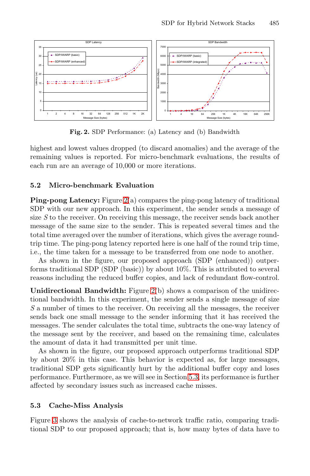<span id="page-7-2"></span>

**Fig. 2.** SDP Performance: (a) Latency and (b) Bandwidth

<span id="page-7-0"></span>highest and lowest values dropped (to discard anomalies) and the average of the remaining values is reported. For micro-benchmark evaluations, the results of each run are an average of 10,000 or more iterations.

#### **5.2 Micro-benchmark Evaluation**

**Ping-pong Latency:** Figure 2(a) compares the ping-pong latency of traditional SDP with our new approach. In this experiment, the sender sends a message of size *S* to the receiver. On receiving this message, the receiver sends back another message of the sa[me](#page-7-2) size to the sender. This is repeated several times and the total time averaged over the number of iterations, which gives the average roundtrip time. The ping-pong latency reported here is one half of the round trip time, i.e., the time taken for a message to be transferred from one node to another.

As shown in the figure, our proposed approach (SDP (enhanced)) outperforms traditional SDP (SDP (basic)) by about 10%. This is attributed to several reasons including the reduced buffer copies, and lack of redundant flow-control.

**Unidirectional Bandwidth:** Figure 2(b) shows a comparison of the unidirectional bandwidth. In this experiment, the sender sends a single message of size *S* a number of times to the rec[eiver](#page-7-1). On receiving all the messages, the receiver sends back one small message to the sender informing that it has received the messages. The sender calculates the total time, subtracts the one-way latency of the message sent by the receiver, and based on the remaining time, calculates the amount of data it had transmitted per unit time.

<span id="page-7-1"></span>As shown in the figure, our proposed approach outperforms traditional SDP by about 20% in this case. This behavior is expected as, for large messages, traditional SDP gets significantly hurt by the additional buffer copy and loses performance. Furthermore, as we will see in Section 5.3, its performance is further affected by secondary issues such as increased cache misses.

#### **5.3 Cache-Miss Analysis**

Figure 3 shows the analysis of cache-to-network traffic ratio, comparing traditional SDP to our proposed approach; that is, how many bytes of data have to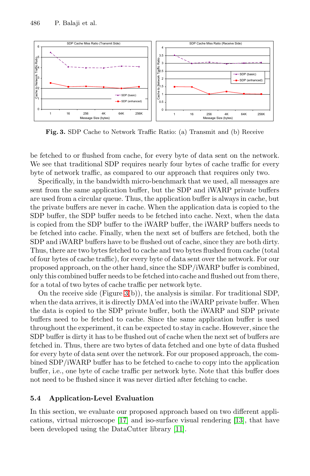

<span id="page-8-0"></span>

**Fig. 3.** SDP Cache to Network Traffic Ratio: (a) Transmit and (b) Receive

be fetched to or flushed from cache, for every byte of data sent on the network. We see that traditional SDP requires nearly four bytes of cache traffic for every byte of network traffic, as compared to our approach that requires only two.

Specifically, in the bandwidth micro-benchmark that we used, all messages are sent from the same application buffer, but the SDP and iWARP private buffers are used from a circular queue. Thus, the application buffer is always in cache, but the private buffers are never in cache. When the application data is copied to the SDP buffer, the SDP buffer needs to be fetched into cache. Next, when the data is copied fr[om](#page-8-0) the SDP buffer to the iWARP buffer, the iWARP buffers needs to be fetched into cache. Finally, when the next set of buffers are fetched, both the SDP and iWARP buffers have to be flushed out of cache, since they are both dirty. Thus, there are two bytes fetched to cache and two bytes flushed from cache (total of four bytes of cache traffic), for every byte of data sent over the network. For our proposed approach, on the other hand, since the SDP/iWARP buffer is combined, only this combined buffer needs to be fetched into cache and flushed out from there, for a total of two bytes of cache traffic per network byte.

On the receive side (Figure 3(b)), the analysis is similar. For traditional SDP, when the data arrives, it is directly DMA'ed into the iWARP private buffer. When the data is copied to the SDP private buffer, both the iWARP and SDP private buffers need to be fetched to cache. Since the same application buffer is used throughout the experiment, it can be expected to stay in cache. However, since the SDP buffer is dirty it has to be flushed out of cache when the next set of buffers are fetched in. Thus, there are two bytes of data fetched and one byte of data flushed for every [byt](#page-11-2)e of data sent over the network. Fo[r ou](#page-11-11)r proposed approach, the combined SDP/iWARP buffer [has](#page-11-12) to be fetched to cache to copy into the application buffer, i.e., one byte of cache traffic per network byte. Note that this buffer does not need to be flushed since it was never dirtied after fetching to cache.

#### **5.4 Application-Level Evaluation**

In this section, we evaluate our proposed approach based on two different applications, virtual microscope [17] and iso-surface visual rendering [13], that have been developed using the DataCutter library [11].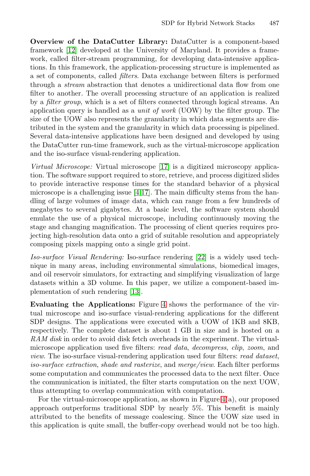**Overview of the DataCutter Library:** DataCutter is a component-based framework [12] developed at the University of Maryland. It provides a framework, called filter-stream programming, for developing data-intensive applications. In this framework, the application-processing structure is implemented as a set of components, called *filters*. Data exchange between filters is performed through a *stream* abstraction that denotes a unidirectional data flow from one filter to another. The overall processing structure of an application is realized by a *filter group*, whic[h](#page-11-2) [is](#page-11-2) a set of filters connected through logical streams. An application query is handled as a *unit of work* (UOW) by the filter group. The size of the UOW also represents the granularity in which data segments are distributed in th[e](#page-10-2) [s](#page-10-2)[yst](#page-11-2)em and the granularity in which data processing is pipelined. Several data-intensive applications have been designed and developed by using the DataCutter run-time framework, such as the virtual-microscope application and the iso-surface visual-rendering application.

*Virtual Microscope:* Virtual microscope [17] is a digitized microscopy application. The software support required to store, retrieve, and process digitized slides to provide interactive response times for the standard behavior of a physical microscope is a challenging issue  $[4,17]$  $[4,17]$  $[4,17]$ . The main difficulty stems from the handling of large volumes of image data, which can range from a few hundreds of megabytes to several gigabytes. At a basic level, the software system should emulate the use of a physical microscope, including continuously moving the stage and ch[ang](#page-11-11)ing magnification. The processing of client queries requires projecting high-resolution [da](#page-10-3)ta onto a grid of suitable resolution and appropriately composing pixels mapping onto a single grid point.

*Iso-surface Visual Rendering:* Iso-surface rendering [22] is a widely used technique in many areas, including environmental simulations, biomedical images, and oil reservoir simulators, for extracting and simplifying visualization of large datasets within a 3D volume. In this paper, we utilize a component-based implementation of such rendering [13].

**Evaluating the Applications:** Figure 4 shows the performance of the virtual microscope and iso-surface visual-rendering applications for the different SDP designs. The applications were executed with a UOW of 1KB and 8KB, respectively. The complete dataset is ab[ou](#page-10-3)t 1 GB in size and is hosted on a *RAM disk* in order to avoid disk fetch overheads in the experiment. The virtualmicroscope application used five filters: *read data*, *decompress*, *clip*, *zoom*, and *view*. The iso-surface visual-rendering application used four filters: *read dataset*, *iso-surface extraction*, *shade and rasterize*, and *merge/view*. Each filter performs some computation and communicates the processed data to the next filter. Once the communication is initiated, the filter starts computation on the next UOW, thus attempting to overlap communication with computation.

For the virtual-microscope application, as shown in Figure  $4(a)$ , our proposed approach outperforms traditional SDP by nearly 5%. This benefit is mainly attributed to the benefits of message coalescing. Since the UOW size used in this application is quite small, the buffer-copy overhead would not be too high.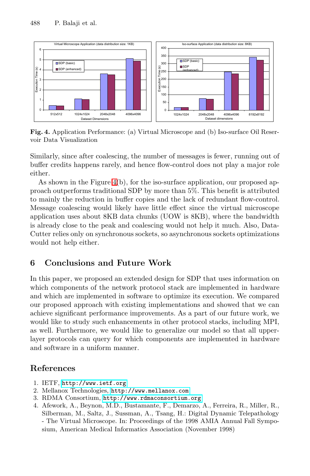<span id="page-10-3"></span>

**Fig. 4.** Application Performance: (a) Virtual Microscope and (b) Iso-surface Oil Reservoir Data Visualization

Similarly, since after coalescing, the number of messages is fewer, running out of buffer credits happens rarely, and hence flow-control does not play a major role either.

As shown in the Figure 4(b), for the iso-surface application, our proposed approach outperforms traditional SDP by more than 5%. This benefit is attributed to mainly the reduction in buffer copies and the lack of redundant flow-control. Message coalescing would likely have little effect since the virtual microscope application uses about 8KB data chunks (UOW is 8KB), where the bandwidth is already close to the peak and coalescing would not help it much. Also, Data-Cutter relies only on synchronous sockets, so asynchronous sockets optimizations would not help either.

# **6 Conclusions and Future Work**

<span id="page-10-0"></span>In this paper, we proposed an extended design for SDP that uses information on which components of the network protocol stack are implemented in hardware and which are implemented in software to optimize its execution. We compared our proposed approach with existing implementations and showed that we can [achieve signi](http://www.ietf.org)ficant performance improvements. As a part of our future work, we would [like to study such enhance](http://www.mellanox.com)ments in other protocol stacks, including MPI, as [well. Furthermore, we would like](http://www.rdmaconsortium.org) to generalize our model so that all upperlayer protocols can query for which components are implemented in hardware and software in a uniform manner.

#### <span id="page-10-2"></span><span id="page-10-1"></span>**References**

- 1. IETF, http://www.ietf.org
- 2. Mellanox Technologies, http://www.mellanox.com
- 3. RDMA Consortium, http://www.rdmaconsortium.org
- 4. Afework, A., Beynon, M.D., Bustamante, F., Demarzo, A., Ferreira, R., Miller, R., Silberman, M., Saltz, J., Sussman, A., Tsang, H.: Digital Dynamic Telepathology - The Virtual Microscope. In: Proceedings of the 1998 AMIA Annual Fall Symposium, American Medical Informatics Association (November 1998)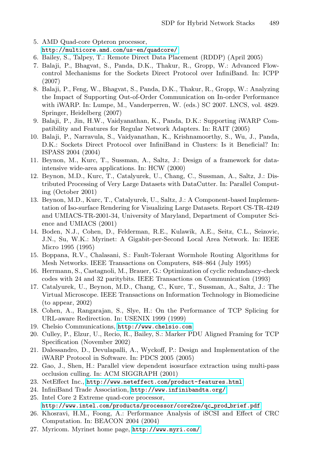- <span id="page-11-10"></span><span id="page-11-9"></span><span id="page-11-6"></span><span id="page-11-4"></span>5. AMD Quad-core Opteron processor, http://multicore.amd.com/us-en/quadcore/
- 6. Bailey, S., Talpey, T.: Remote Direct Data Placement (RDDP) (April 2005)
- <span id="page-11-0"></span>7. Balaji, P., Bhagvat, S., Panda, D.K., Thakur, R., Gropp, W.: Advanced Flowcontrol Mechanisms for the Sockets Direct Protocol over InfiniBand. In: ICPP (2007)
- <span id="page-11-12"></span>8. Balaji, P., Feng, W., Bhagvat, S., Panda, D.K., Thakur, R., Gropp, W.: Analyzing the Impact of Supporting Out-of-Order Communication on In-order Performance with iWARP. In: Lumpe, M., Vanderperren, W. (eds.) SC 2007. LNCS, vol. 4829. Springer, Heidelberg (2007)
- <span id="page-11-3"></span>9. Balaji, P., Jin, H.W., Vaidyanathan, K., Panda, D.K.: Supporting iWARP Compatibility and Features for Regular Network Adapters. In: RAIT (2005)
- <span id="page-11-11"></span>10. Balaji, P., Narravula, S., Vaidyanathan, K., Krishnamoorthy, S., Wu, J., Panda, D.K.: Sockets Direct Protocol over InfiniBand in Clusters: Is it Beneficial? In: ISPASS 2004 (2004)
- 11. Beynon, M., Kurc, T., Sussman, A., Saltz, J.: Design of a framework for dataintensive wide-area applications. In: HCW (2000)
- 12. Beynon, M.D., Kurc, T., Catalyurek, U., Chang, C., Sussman, A., Saltz, J.: Distributed Processing of Very Large Datasets with DataCutter. In: Parallel Computing (October 2001)
- <span id="page-11-2"></span>13. Beynon, M.D., Kurc, T., Catalyurek, U., Saltz, J.: A Component-based Implementation of Iso-surface Rendering for Visualizing Large Datasets. Report CS-TR-4249 and UMIACS-TR-2001-34, University of Maryland, Department of Computer Science and UMIACS (2001)
- 14. Boden, N.J., Cohen, D., Felderman, R.E., Kulawik, A.E., Seitz, C.L., Seizovic, J.N., Su, W.K.: Myrinet: A Gigabit-per-Second Local Area Network. In: IEEE Micro 1995 (1995)
- <span id="page-11-8"></span><span id="page-11-5"></span>15. Boppana, R.V., Chalasani, S.: Fault-Tolerant Wormhole Routing Algorithms for Mesh [Networks.](http://www.chelsio.com) [IEEE](http://www.chelsio.com) [Transact](http://www.chelsio.com)ions on Computers, 848–864 (July 1995)
- <span id="page-11-7"></span>16. Herrmann, S., Castagnoli, M., Brauer, G.: Optimization of cyclic redundancy-check codes with 24 and 32 paritybits. IEEE Transactions on Communication (1993)
- <span id="page-11-13"></span>17. Catalyurek, U., Beynon, M.D., Chang, C., Kurc, T., Sussman, A., Saltz, J.: The Virtual Microscope. IEEE Transactions on Information Technology in Biomedicine (to appear, 2002)
- 18. Cohen, A., Rangarajan, S., Slye, H.: On the Performance of TCP Splicing for [URL-aware](http://www.neteffect.com/product-features.html) [Redirection.](http://www.neteffect.com/product-features.html) [In:](http://www.neteffect.com/product-features.html) [USENIX](http://www.neteffect.com/product-features.html) [1999](http://www.neteffect.com/product-features.html) [\(1999\)](http://www.neteffect.com/product-features.html)
- <span id="page-11-1"></span>19. Chelsio Communications, [http://www.chel](http://www.infinibandta.org/)sio.com
- 20. Culley, P., Elzur, U., Recio, R., Bailey, S.: Marker PDU Aligned Framing for TCP [Specification](http://www.intel.com/products/processor/core2xe/qc_prod_brief.pdf) [\(November](http://www.intel.com/products/processor/core2xe/qc_prod_brief.pdf) [2002\)](http://www.intel.com/products/processor/core2xe/qc_prod_brief.pdf)
- 21. Dalessandro, D., Devulapalli, A., Wyckoff, P.: Design and Implementation of the iWARP Protocol in Software. In: PDCS 2005 (2005)
- 22. Gao, J., S[hen,](http://www.myri.com/) [H.:](http://www.myri.com/) [Parallel](http://www.myri.com/) [view](http://www.myri.com/) [de](http://www.myri.com/)pendent isosurface extraction using multi-pass occlusion culling. In: ACM SIGGRAPH (2001)
- 23. NetEffect Inc., http://www.neteffect.com/product-features.html
- 24. InfiniBand Trade Association, http://www.infinibandta.org/
- 25. Intel Core 2 Extreme quad-core processor,
- http://www.intel.com/products/processor/core2xe/qc prod brief.pdf 26. Khosravi, H.M., Foong, A.: Performance Analysis of iSCSI and Effect of CRC
- Computation. In: BEACON 2004 (2004)
- 27. Myricom. Myrinet home page, http://www.myri.com/